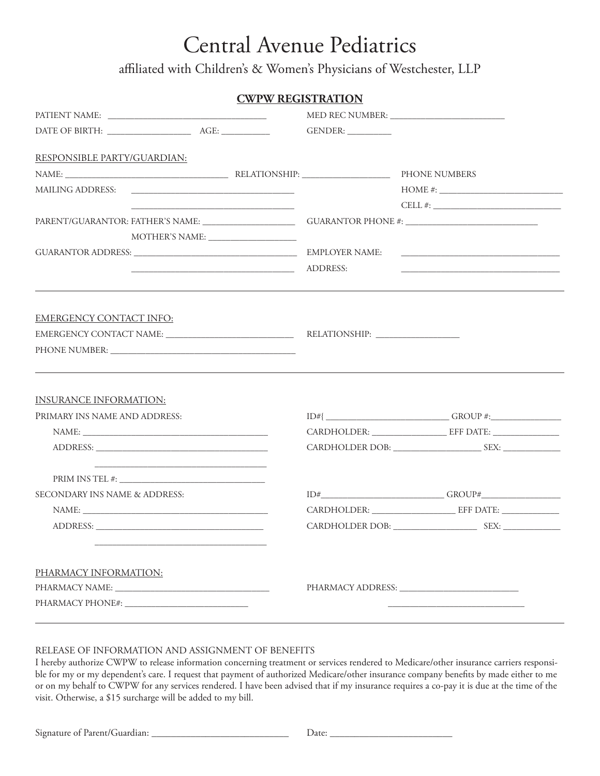## Central Avenue Pediatrics

affiliated with Children's & Women's Physicians of Westchester, LLP

|                                    |                                                                                                                      | <b>CWPW REGISTRATION</b> |                     |               |                                                                                                                                                                                                           |
|------------------------------------|----------------------------------------------------------------------------------------------------------------------|--------------------------|---------------------|---------------|-----------------------------------------------------------------------------------------------------------------------------------------------------------------------------------------------------------|
|                                    |                                                                                                                      |                          |                     |               |                                                                                                                                                                                                           |
|                                    |                                                                                                                      |                          | GENDER: ___________ |               |                                                                                                                                                                                                           |
| <b>RESPONSIBLE PARTY/GUARDIAN:</b> |                                                                                                                      |                          |                     |               |                                                                                                                                                                                                           |
|                                    |                                                                                                                      |                          |                     | PHONE NUMBERS |                                                                                                                                                                                                           |
|                                    |                                                                                                                      |                          |                     |               |                                                                                                                                                                                                           |
|                                    |                                                                                                                      |                          |                     |               |                                                                                                                                                                                                           |
|                                    |                                                                                                                      |                          |                     |               |                                                                                                                                                                                                           |
|                                    |                                                                                                                      |                          |                     |               |                                                                                                                                                                                                           |
|                                    |                                                                                                                      |                          |                     |               |                                                                                                                                                                                                           |
|                                    | ADDRESS:                                                                                                             |                          |                     |               | <u> 1989 - Johann John Stein, market fan it ferstjer fan it ferstjer fan it ferstjer fan it ferstjer fan it fers</u><br>,我们也不能会有一个人的事情。""我们的人,我们也不能会有一个人的人,我们也不能会有一个人的人,我们也不能会有一个人的人。""我们的人,我们也不能会有一个人的人, |
|                                    |                                                                                                                      |                          |                     |               |                                                                                                                                                                                                           |
| <b>EMERGENCY CONTACT INFO:</b>     |                                                                                                                      |                          |                     |               |                                                                                                                                                                                                           |
|                                    |                                                                                                                      |                          |                     |               |                                                                                                                                                                                                           |
|                                    | ,我们也不会有什么。""我们的人,我们也不会有什么?""我们的人,我们也不会有什么?""我们的人,我们也不会有什么?""我们的人,我们也不会有什么?""我们的人                                     |                          |                     |               |                                                                                                                                                                                                           |
| <b>INSURANCE INFORMATION:</b>      |                                                                                                                      |                          |                     |               |                                                                                                                                                                                                           |
| PRIMARY INS NAME AND ADDRESS:      |                                                                                                                      |                          |                     |               |                                                                                                                                                                                                           |
|                                    |                                                                                                                      |                          |                     |               |                                                                                                                                                                                                           |
|                                    |                                                                                                                      |                          |                     |               |                                                                                                                                                                                                           |
|                                    | <u> 2000 - Jan James James James James James James James James James James James James James James James James J</u> |                          |                     |               |                                                                                                                                                                                                           |
| SECONDARY INS NAME & ADDRESS:      |                                                                                                                      |                          |                     |               |                                                                                                                                                                                                           |
|                                    | NAME:                                                                                                                |                          |                     |               |                                                                                                                                                                                                           |
|                                    |                                                                                                                      |                          |                     |               |                                                                                                                                                                                                           |
| PHARMACY INFORMATION:              |                                                                                                                      |                          |                     |               |                                                                                                                                                                                                           |
|                                    |                                                                                                                      |                          |                     |               |                                                                                                                                                                                                           |
|                                    |                                                                                                                      |                          |                     |               |                                                                                                                                                                                                           |

#### RELEASE OF INFORMATION AND ASSIGNMENT OF BENEFITS

I hereby authorize CWPW to release information concerning treatment or services rendered to Medicare/other insurance carriers responsible for my or my dependent's care. I request that payment of authorized Medicare/other insurance company benefits by made either to me or on my behalf to CWPW for any services rendered. I have been advised that if my insurance requires a co-pay it is due at the time of the visit. Otherwise, a \$15 surcharge will be added to my bill.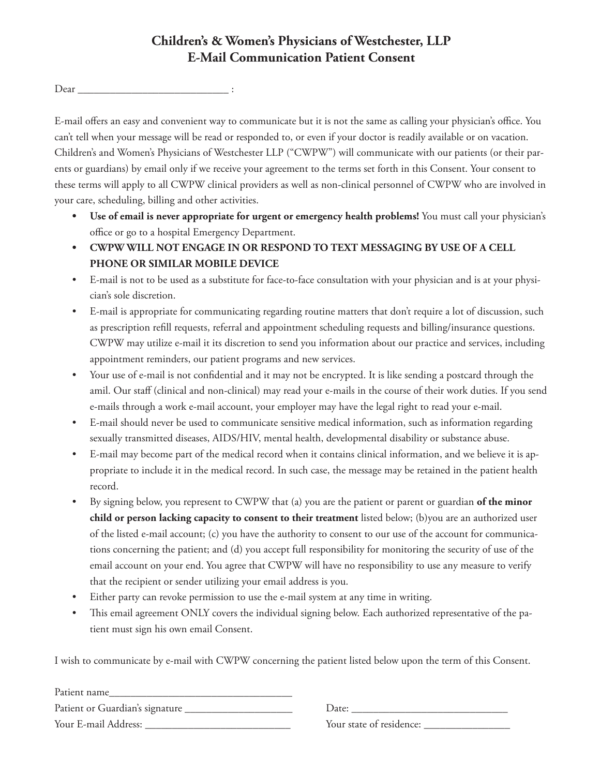## **Children's & Women's Physicians of Westchester, LLP E-Mail Communication Patient Consent**

Dear \_\_\_\_\_\_\_\_\_\_\_\_\_\_\_\_\_\_\_\_\_\_\_\_\_\_\_\_ :

E-mail offers an easy and convenient way to communicate but it is not the same as calling your physician's office. You can't tell when your message will be read or responded to, or even if your doctor is readily available or on vacation. Children's and Women's Physicians of Westchester LLP ("CWPW") will communicate with our patients (or their parents or guardians) by email only if we receive your agreement to the terms set forth in this Consent. Your consent to these terms will apply to all CWPW clinical providers as well as non-clinical personnel of CWPW who are involved in your care, scheduling, billing and other activities.

- **• Use of email is never appropriate for urgent or emergency health problems!** You must call your physician's office or go to a hospital Emergency Department.
- **• CWPW WILL NOT ENGAGE IN OR RESPOND TO TEXT MESSAGING BY USE OF A CELL PHONE OR SIMILAR MOBILE DEVICE**
- E-mail is not to be used as a substitute for face-to-face consultation with your physician and is at your physician's sole discretion.
- E-mail is appropriate for communicating regarding routine matters that don't require a lot of discussion, such as prescription refill requests, referral and appointment scheduling requests and billing/insurance questions. CWPW may utilize e-mail it its discretion to send you information about our practice and services, including appointment reminders, our patient programs and new services.
- Your use of e-mail is not confidential and it may not be encrypted. It is like sending a postcard through the amil. Our staff (clinical and non-clinical) may read your e-mails in the course of their work duties. If you send e-mails through a work e-mail account, your employer may have the legal right to read your e-mail.
- E-mail should never be used to communicate sensitive medical information, such as information regarding sexually transmitted diseases, AIDS/HIV, mental health, developmental disability or substance abuse.
- E-mail may become part of the medical record when it contains clinical information, and we believe it is appropriate to include it in the medical record. In such case, the message may be retained in the patient health record.
- By signing below, you represent to CWPW that (a) you are the patient or parent or guardian **of the minor child or person lacking capacity to consent to their treatment** listed below; (b)you are an authorized user of the listed e-mail account; (c) you have the authority to consent to our use of the account for communications concerning the patient; and (d) you accept full responsibility for monitoring the security of use of the email account on your end. You agree that CWPW will have no responsibility to use any measure to verify that the recipient or sender utilizing your email address is you.
- Either party can revoke permission to use the e-mail system at any time in writing.
- This email agreement ONLY covers the individual signing below. Each authorized representative of the patient must sign his own email Consent.

I wish to communicate by e-mail with CWPW concerning the patient listed below upon the term of this Consent.

| Patient name                    |
|---------------------------------|
| Patient or Guardian's signature |
| Your E-mail Address:            |

Date:

Your E-mail Address: \_\_\_\_\_\_\_\_\_\_\_\_\_\_\_\_\_\_\_\_\_\_\_\_\_\_\_ Your state of residence: \_\_\_\_\_\_\_\_\_\_\_\_\_\_\_\_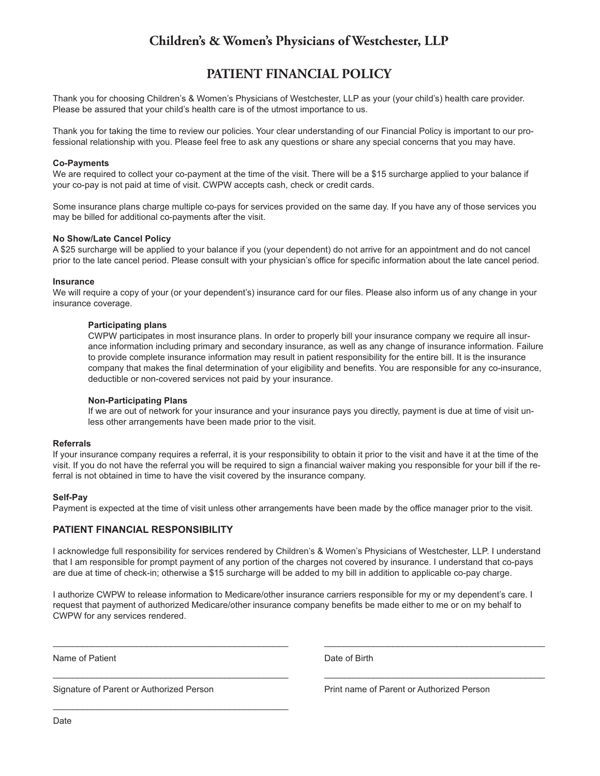## **Children's & Women's Physicians of Westchester, LLP**

## **PATIENT FINANCIAL POLICY**

Thank you for choosing Children's & Women's Physicians of Westchester, LLP as your (your child's) health care provider. Please be assured that your child's health care is of the utmost importance to us.

Thank you for taking the time to review our policies. Your clear understanding of our Financial Policy is important to our professional relationship with you. Please feel free to ask any questions or share any special concerns that you may have.

#### **Co-Payments**

We are required to collect your co-payment at the time of the visit. There will be a \$15 surcharge applied to your balance if your co-pay is not paid at time of visit. CWPW accepts cash, check or credit cards.

Some insurance plans charge multiple co-pays for services provided on the same day. If you have any of those services you may be billed for additional co-payments after the visit.

#### **No Show/Late Cancel Policy**

A \$25 surcharge will be applied to your balance if you (your dependent) do not arrive for an appointment and do not cancel prior to the late cancel period. Please consult with your physician's office for specific information about the late cancel period.

#### **Insurance**

We will require a copy of your (or your dependent's) insurance card for our files. Please also inform us of any change in your insurance coverage.

#### **Participating plans**

CWPW participates in most insurance plans. In order to properly bill your insurance company we require all insurance information including primary and secondary insurance, as well as any change of insurance information. Failure to provide complete insurance information may result in patient responsibility for the entire bill. It is the insurance company that makes the final determination of your eligibility and benefits. You are responsible for any co-insurance, deductible or non-covered services not paid by your insurance.

#### **Non-Participating Plans**

If we are out of network for your insurance and your insurance pays you directly, payment is due at time of visit unless other arrangements have been made prior to the visit.

#### **Referrals**

If your insurance company requires a referral, it is your responsibility to obtain it prior to the visit and have it at the time of the visit. If you do not have the referral you will be required to sign a financial waiver making you responsible for your bill if the referral is not obtained in time to have the visit covered by the insurance company.

#### **Self-Pay**

Payment is expected at the time of visit unless other arrangements have been made by the office manager prior to the visit.

#### **PATIENT FINANCIAL RESPONSIBILITY**

I acknowledge full responsibility for services rendered by Children's & Women's Physicians of Westchester, LLP. I understand that I am responsible for prompt payment of any portion of the charges not covered by insurance. I understand that co-pays are due at time of check-in; otherwise a \$15 surcharge will be added to my bill in addition to applicable co-pay charge.

I authorize CWPW to release information to Medicare/other insurance carriers responsible for my or my dependent's care. I request that payment of authorized Medicare/other insurance company benefits be made either to me or on my behalf to CWPW for any services rendered.

\_\_\_\_\_\_\_\_\_\_\_\_\_\_\_\_\_\_\_\_\_\_\_\_\_\_\_\_\_\_\_\_\_\_\_\_\_\_\_\_\_\_\_\_\_\_\_\_ \_\_\_\_\_\_\_\_\_\_\_\_\_\_\_\_\_\_\_\_\_\_\_\_\_\_\_\_\_\_\_\_\_\_\_\_\_\_\_\_\_\_\_\_\_

 $\overline{\phantom{a}}$  , and the contribution of the contribution of the contribution of the contribution of the contribution of the contribution of the contribution of the contribution of the contribution of the contribution of the

Name of Patient **Date of Birth** Date of Birth

 $\mathcal{L}_\text{max}$  and  $\mathcal{L}_\text{max}$  and  $\mathcal{L}_\text{max}$  and  $\mathcal{L}_\text{max}$  and  $\mathcal{L}_\text{max}$  and  $\mathcal{L}_\text{max}$ 

Signature of Parent or Authorized Person Print name of Parent or Authorized Person